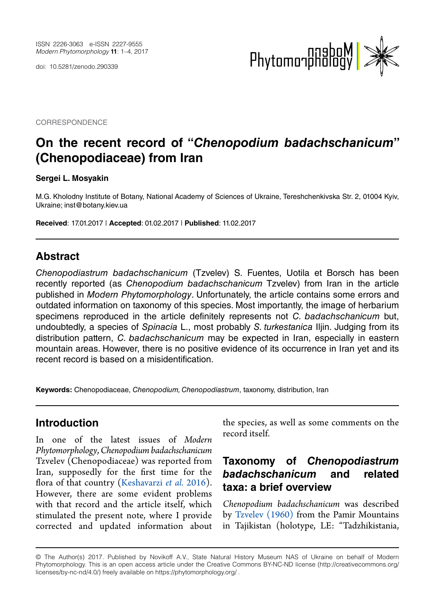doi: 10.5281/zenodo.290339



**CORRESPONDENCE** 

# **On the recent record of "***Chenopodium badachschanicum***" (Chenopodiaceae) from Iran**

#### **Sergei L. Mosyakin**

M.G. Kholodny Institute of Botany, National Academy of Sciences of Ukraine, Tereshchenkivska Str. 2, 01004 Kyiv, Ukraine; [inst@botany.kiev.ua](mailto:inst%40botany.kiev.ua?subject=)

**Received**: 17.01.2017 | **Accepted**: 01.02.2017 | **Published**: 11.02.2017

#### **Abstract**

*Chenopodiastrum badachschanicum* (Tzvelev) S. Fuentes, Uotila et Borsch has been recently reported (as *Chenopodium badachschanicum* Tzvelev) from Iran in the article published in *Modern Phytomorphology*. Unfortunately, the article contains some errors and outdated information on taxonomy of this species. Most importantly, the image of herbarium specimens reproduced in the article definitely represents not *C. badachschanicum* but, undoubtedly, a species of *Spinacia* L., most probably *S. turkestanica* Iljin. Judging from its distribution pattern, *C. badachschanicum* may be expected in Iran, especially in eastern mountain areas. However, there is no positive evidence of its occurrence in Iran yet and its recent record is based on a misidentification.

**Keywords:** Chenopodiaceae, *Chenopodium, Chenopodiastrum*, taxonomy, distribution, Iran

#### **Introduction**

In one of the latest issues of *Modern Phytomorphology*, *Chenopodium badachschanicum* Tzvelev (Chenopodiaceae) was reported from Iran, supposedly for the first time for the flora of that country [\(Keshavarzi](#page-3-0) *et al.* 2016). However, there are some evident problems with that record and the article itself, which stimulated the present note, where I provide corrected and updated information about the species, as well as some comments on the record itself.

## **Taxonomy of** *Chenopodiastrum badachschanicum* **and related taxa: a brief overview**

*Chenopodium badachschanicum* was described by [Tzvelev \(1960\)](#page-3-1) from the Pamir Mountains in Tajikistan (holotype, LE: "Tadzhikistania,

<sup>©</sup> The Author(s) 2017. Published by Novikoff A.V., State Natural History Museum NAS of Ukraine on behalf of Modern Phytomorphology. This is an open access article under the Creative Commons BY-NC-ND license (http://creativecommons.org/ licenses/by-nc-nd/4.0/) freely available on https://phytomorphology.org/ .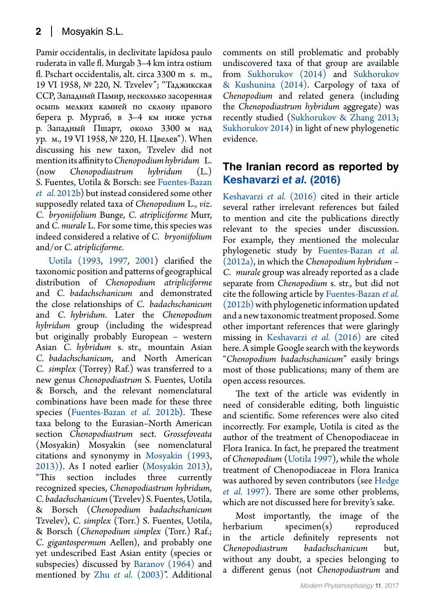Pamir occidentalis, in declivitate lapidosa paulo ruderata in valle fl. Murgab 3–4 km intra ostium fl. Pschart occidentalis, alt. circa 3300 m s. m., 19 VI 1958, № 220, N. Tzvelev"; "Таджикская ССР, Западный Памир, несколько засоренная осыпь мелких камней по склону правого берега р. Мургаб, в 3–4 км ниже устья р. Западный Пшарт, около 3300 м над ур. м., 19 VI 1958, № 220, Н. Цвелев"). When discussing his new taxon, Tzvelev did not mention its affinity to *Chenopodium hybridum* L. (now *Chenopodiastrum hybridum* (L.) S. Fuentes, Uotila & Borsch: see [Fuentes-Bazan](#page-3-2)  *et al.* [2012b\)](#page-3-2) but instead considered some other supposedly related taxa of *Chenopodium* L., *viz*. *C. bryoniifolium* Bunge, *C. atripliciforme* Murr, and *C. murale* L. For some time, this species was indeed considered a relative of *C. bryoniifolium* and/or *C. atripliciforme*.

[Uotila \(1993,](#page-3-3) [1997](#page-3-4), [2001](#page-3-5)) clarified the taxonomic position and patterns of geographical distribution of *Chenopodium atripliciforme*  and *C. badachschanicum* and demonstrated the close relationships of *C. badachschanicum* and *C. hybridum*. Later the *Chenopodium hybridum* group (including the widespread but originally probably European – western Asian *C. hybridum* s. str., mountain Asian *C. badachschanicum*, and North American *C. simplex* (Torrey) Raf.) was transferred to a new genus *Chenopodiastrum* S. Fuentes, Uotila & Borsch, and the relevant nomenclatural combinations have been made for these three species [\(Fuentes-Bazan](#page-3-2) *et al.* 2012b). These taxa belong to the Eurasian–North American section *Chenopodiastrum* sect. *Grossefoveata* (Mosyakin) Mosyakin (see nomenclatural citations and synonymy in [Mosyakin \(1993,](#page-3-6) [2013\)](#page-3-7)). As I noted earlier [\(Mosyakin 2013](#page-3-7)), "This section includes three currently recognized species, *Chenopodiastrum hybridum, C. badachschanicum* (Tzvelev) S. Fuentes, Uotila, & Borsch (*Chenopodium badachschanicum* Tzvelev), *C. simplex* (Torr.) S. Fuentes, Uotila, & Borsch (*Chenopodium simplex* (Torr.) Raf.; *C. gigantospermum* Aellen), and probably one yet undescribed East Asian entity (species or subspecies) discussed by [Baranov \(1964\)](#page-2-0) and mentioned by Zhu *et al.* [\(2003\)"](#page-3-8). Additional comments on still problematic and probably undiscovered taxa of that group are available from [Sukhorukov \(2014\)](#page-3-9) and [Sukhorukov](#page-3-10) [& Kushunina \(2014\).](#page-3-10) Carpology of taxa of *Chenopodium* and related genera (including the *Chenopodiastrum hybridum* aggregate) was recently studied [\(Sukhorukov & Zhang 2013](#page-3-11); [Sukhorukov 2014\)](#page-3-9) in light of new phylogenetic evidence.

## **The Iranian record as reported by [Keshavarzi](#page-3-0)** *et al.* **(2016)**

[Keshavarzi](#page-3-0) *et al.* (2016) cited in their article several rather irrelevant references but failed to mention and cite the publications directly relevant to the species under discussion. For example, they mentioned the molecular phylogenetic study by [Fuentes-Bazan](#page-3-12) *et al.*  [\(2012a\),](#page-3-12) in which the *Chenopodium hybridum* – *C. murale* group was already reported as a clade separate from *Chenopodium* s. str., but did not cite the following article by [Fuentes-Bazan](#page-3-2) *et al.*  [\(2012b\)](#page-3-2) with phylogenetic information updated and a new taxonomic treatment proposed. Some other important references that were glaringly missing in [Keshavarzi](#page-3-0) *et al.* (2016) are cited here. A simple Google search with the keywords "*Chenopodium badachschanicum*" easily brings most of those publications; many of them are open access resources.

The text of the article was evidently in need of considerable editing, both linguistic and scientific. Some references were also cited incorrectly. For example, Uotila is cited as the author of the treatment of Chenopodiaceae in Flora Iranica. In fact, he prepared the treatment of *Chenopodium* [\(Uotila 1997](#page-3-4)), while the whole treatment of Chenopodiaceae in Flora Iranica was authored by seven contributors (see Hedge *et al.* 1997). There are some other problems, which are not discussed here for brevity's sake.

Most importantly, the image of the herbarium specimen(s) reproduced in the article definitely represents not *Chenopodiastrum badachschanicum* but, without any doubt, a species belonging to a different genus (not *Chenopodiastrum* and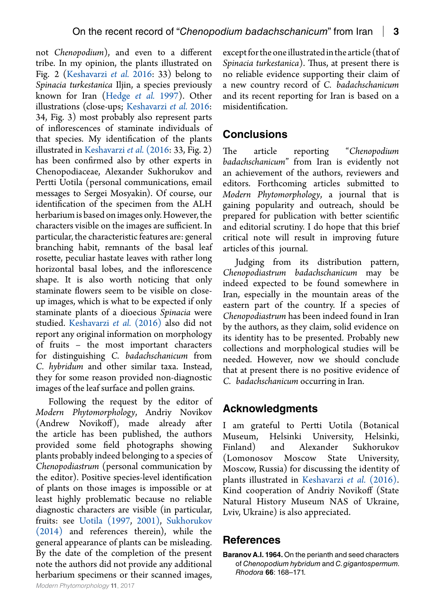not *Chenopodium*), and even to a different tribe. In my opinion, the plants illustrated on Fig. 2 [\(Keshavarzi](#page-3-0) *et al.* 2016: 33) belong to *Spinacia turkestanica* Iljin, a species previously known for Iran (Hedge *et al.* 1997). Other illustrations (close-ups; [Keshavarzi](#page-3-0) *et al.* 2016: 34, Fig. 3) most probably also represent parts of inflorescences of staminate individuals of that species. My identification of the plants illustrated in [Keshavarzi](#page-3-0) *et al.* (2016: 33, Fig. 2) has been confirmed also by other experts in Chenopodiaceae, Alexander Sukhorukov and Pertti Uotila (personal communications, email messages to Sergei Mosyakin). Of course, our identification of the specimen from the ALH herbarium is based on images only. However, the characters visible on the images are sufficient. In particular, the characteristic features are: general branching habit, remnants of the basal leaf rosette, peculiar hastate leaves with rather long horizontal basal lobes, and the inflorescence shape. It is also worth noticing that only staminate flowers seem to be visible on closeup images, which is what to be expected if only staminate plants of a dioecious *Spinacia* were studied. [Keshavarzi](#page-3-0) *et al.* (2016) also did not report any original information on morphology of fruits – the most important characters for distinguishing *C. badachschanicum* from *C. hybridum* and other similar taxa. Instead, they for some reason provided non-diagnostic images of the leaf surface and pollen grains.

Following the request by the editor of *Modern Phytomorphology*, Andriy Novikov (Andrew Novikoff), made already after the article has been published, the authors provided some field photographs showing plants probably indeed belonging to a species of *Chenopodiastrum* (personal communication by the editor). Positive species-level identification of plants on those images is impossible or at least highly problematic because no reliable diagnostic characters are visible (in particular, fruits: see [Uotila \(1997](#page-3-4), [2001\)](#page-3-5), [Sukhorukov](#page-3-9)  [\(2014\)](#page-3-9) and references therein), while the general appearance of plants can be misleading. By the date of the completion of the present note the authors did not provide any additional herbarium specimens or their scanned images,

except for the one illustrated in the article (that of *Spinacia turkestanica*). Thus, at present there is no reliable evidence supporting their claim of a new country record of *C. badachschanicum*  and its recent reporting for Iran is based on a misidentification.

# **Conclusions**

The article reporting "*Chenopodium badachschanicum*" from Iran is evidently not an achievement of the authors, reviewers and editors. Forthcoming articles submitted to *Modern Phytomorphology*, a journal that is gaining popularity and outreach, should be prepared for publication with better scientific and editorial scrutiny. I do hope that this brief critical note will result in improving future articles of this journal.

Judging from its distribution pattern, *Chenopodiastrum badachschanicum* may be indeed expected to be found somewhere in Iran, especially in the mountain areas of the eastern part of the country. If a species of *Chenopodiastrum* has been indeed found in Iran by the authors, as they claim, solid evidence on its identity has to be presented. Probably new collections and morphological studies will be needed. However, now we should conclude that at present there is no positive evidence of *C. badachschanicum* occurring in Iran.

#### **Acknowledgments**

I am grateful to Pertti Uotila (Botanical Museum, Helsinki University, Helsinki, Finland) and Alexander Sukhorukov (Lomonosov Moscow State University, Moscow, Russia) for discussing the identity of plants illustrated in [Keshavarzi](#page-2-0) *et al.* (2016). Kind cooperation of Andriy Novikoff (State Natural History Museum NAS of Ukraine, Lviv, Ukraine) is also appreciated.

#### **References**

<span id="page-2-0"></span>**Baranov A.I. 1964.** On the perianth and seed characters of *Chenopodium hybridum* and *C. gigantospermum. Rhodora* **66**: 168–171.